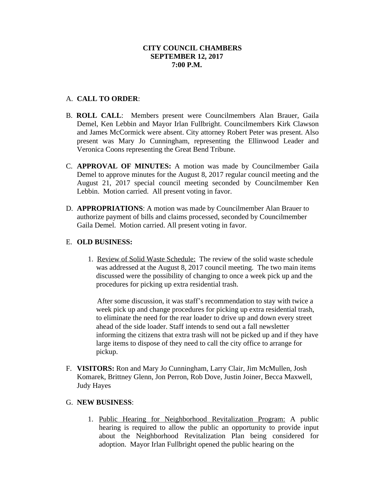## A. **CALL TO ORDER**:

- B. **ROLL CALL**: Members present were Councilmembers Alan Brauer, Gaila Demel, Ken Lebbin and Mayor Irlan Fullbright. Councilmembers Kirk Clawson and James McCormick were absent. City attorney Robert Peter was present. Also present was Mary Jo Cunningham, representing the Ellinwood Leader and Veronica Coons representing the Great Bend Tribune.
- C. **APPROVAL OF MINUTES:** A motion was made by Councilmember Gaila Demel to approve minutes for the August 8, 2017 regular council meeting and the August 21, 2017 special council meeting seconded by Councilmember Ken Lebbin. Motion carried. All present voting in favor.
- D. **APPROPRIATIONS**: A motion was made by Councilmember Alan Brauer to authorize payment of bills and claims processed, seconded by Councilmember Gaila Demel. Motion carried. All present voting in favor.

# E. **OLD BUSINESS:**

1. Review of Solid Waste Schedule: The review of the solid waste schedule was addressed at the August 8, 2017 council meeting. The two main items discussed were the possibility of changing to once a week pick up and the procedures for picking up extra residential trash.

 After some discussion, it was staff's recommendation to stay with twice a week pick up and change procedures for picking up extra residential trash, to eliminate the need for the rear loader to drive up and down every street ahead of the side loader. Staff intends to send out a fall newsletter informing the citizens that extra trash will not be picked up and if they have large items to dispose of they need to call the city office to arrange for pickup.

F. **VISITORS:** Ron and Mary Jo Cunningham, Larry Clair, Jim McMullen, Josh Komarek, Brittney Glenn, Jon Perron, Rob Dove, Justin Joiner, Becca Maxwell, Judy Hayes

### G. **NEW BUSINESS**:

1. Public Hearing for Neighborhood Revitalization Program: A public hearing is required to allow the public an opportunity to provide input about the Neighborhood Revitalization Plan being considered for adoption. Mayor Irlan Fullbright opened the public hearing on the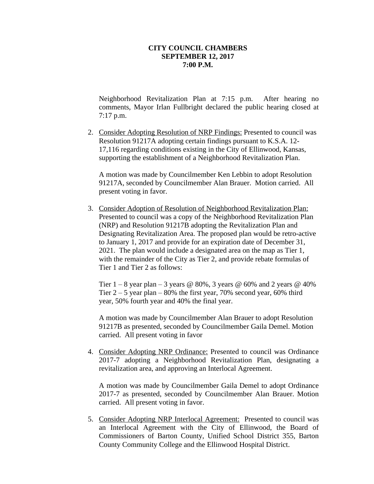Neighborhood Revitalization Plan at 7:15 p.m. After hearing no comments, Mayor Irlan Fullbright declared the public hearing closed at 7:17 p.m.

2. Consider Adopting Resolution of NRP Findings: Presented to council was Resolution 91217A adopting certain findings pursuant to K.S.A. 12- 17,116 regarding conditions existing in the City of Ellinwood, Kansas, supporting the establishment of a Neighborhood Revitalization Plan.

A motion was made by Councilmember Ken Lebbin to adopt Resolution 91217A, seconded by Councilmember Alan Brauer. Motion carried. All present voting in favor.

3. Consider Adoption of Resolution of Neighborhood Revitalization Plan: Presented to council was a copy of the Neighborhood Revitalization Plan (NRP) and Resolution 91217B adopting the Revitalization Plan and Designating Revitalization Area. The proposed plan would be retro-active to January 1, 2017 and provide for an expiration date of December 31, 2021. The plan would include a designated area on the map as Tier 1, with the remainder of the City as Tier 2, and provide rebate formulas of Tier 1 and Tier 2 as follows:

Tier  $1 - 8$  year plan – 3 years @ 80%, 3 years @ 60% and 2 years @ 40% Tier  $2 - 5$  year plan – 80% the first year, 70% second year, 60% third year, 50% fourth year and 40% the final year.

A motion was made by Councilmember Alan Brauer to adopt Resolution 91217B as presented, seconded by Councilmember Gaila Demel. Motion carried. All present voting in favor

4. Consider Adopting NRP Ordinance: Presented to council was Ordinance 2017-7 adopting a Neighborhood Revitalization Plan, designating a revitalization area, and approving an Interlocal Agreement.

A motion was made by Councilmember Gaila Demel to adopt Ordinance 2017-7 as presented, seconded by Councilmember Alan Brauer. Motion carried. All present voting in favor.

5. Consider Adopting NRP Interlocal Agreement: Presented to council was an Interlocal Agreement with the City of Ellinwood, the Board of Commissioners of Barton County, Unified School District 355, Barton County Community College and the Ellinwood Hospital District.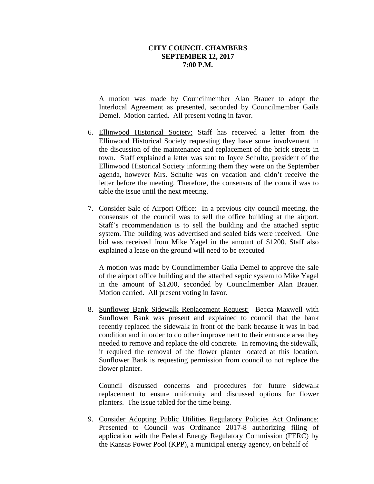A motion was made by Councilmember Alan Brauer to adopt the Interlocal Agreement as presented, seconded by Councilmember Gaila Demel. Motion carried. All present voting in favor.

- 6. Ellinwood Historical Society: Staff has received a letter from the Ellinwood Historical Society requesting they have some involvement in the discussion of the maintenance and replacement of the brick streets in town. Staff explained a letter was sent to Joyce Schulte, president of the Ellinwood Historical Society informing them they were on the September agenda, however Mrs. Schulte was on vacation and didn't receive the letter before the meeting. Therefore, the consensus of the council was to table the issue until the next meeting.
- 7. Consider Sale of Airport Office: In a previous city council meeting, the consensus of the council was to sell the office building at the airport. Staff's recommendation is to sell the building and the attached septic system. The building was advertised and sealed bids were received. One bid was received from Mike Yagel in the amount of \$1200. Staff also explained a lease on the ground will need to be executed

A motion was made by Councilmember Gaila Demel to approve the sale of the airport office building and the attached septic system to Mike Yagel in the amount of \$1200, seconded by Councilmember Alan Brauer. Motion carried. All present voting in favor.

8. Sunflower Bank Sidewalk Replacement Request: Becca Maxwell with Sunflower Bank was present and explained to council that the bank recently replaced the sidewalk in front of the bank because it was in bad condition and in order to do other improvement to their entrance area they needed to remove and replace the old concrete. In removing the sidewalk, it required the removal of the flower planter located at this location. Sunflower Bank is requesting permission from council to not replace the flower planter.

Council discussed concerns and procedures for future sidewalk replacement to ensure uniformity and discussed options for flower planters. The issue tabled for the time being.

9. Consider Adopting Public Utilities Regulatory Policies Act Ordinance: Presented to Council was Ordinance 2017-8 authorizing filing of application with the Federal Energy Regulatory Commission (FERC) by the Kansas Power Pool (KPP), a municipal energy agency, on behalf of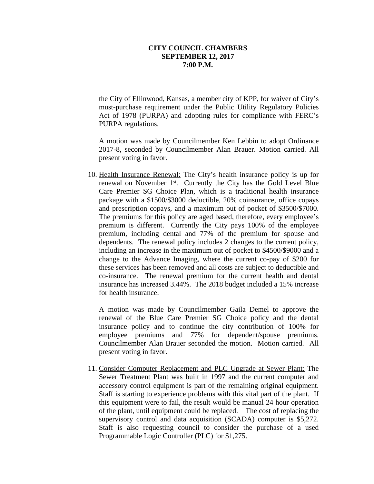the City of Ellinwood, Kansas, a member city of KPP, for waiver of City's must-purchase requirement under the Public Utility Regulatory Policies Act of 1978 (PURPA) and adopting rules for compliance with FERC's PURPA regulations.

A motion was made by Councilmember Ken Lebbin to adopt Ordinance 2017-8, seconded by Councilmember Alan Brauer. Motion carried. All present voting in favor.

10. Health Insurance Renewal: The City's health insurance policy is up for renewal on November 1<sup>st</sup>. Currently the City has the Gold Level Blue Care Premier SG Choice Plan, which is a traditional health insurance package with a \$1500/\$3000 deductible, 20% coinsurance, office copays and prescription copays, and a maximum out of pocket of \$3500/\$7000. The premiums for this policy are aged based, therefore, every employee's premium is different. Currently the City pays 100% of the employee premium, including dental and 77% of the premium for spouse and dependents. The renewal policy includes 2 changes to the current policy, including an increase in the maximum out of pocket to \$4500/\$9000 and a change to the Advance Imaging, where the current co-pay of \$200 for these services has been removed and all costs are subject to deductible and co-insurance. The renewal premium for the current health and dental insurance has increased 3.44%. The 2018 budget included a 15% increase for health insurance.

A motion was made by Councilmember Gaila Demel to approve the renewal of the Blue Care Premier SG Choice policy and the dental insurance policy and to continue the city contribution of 100% for employee premiums and 77% for dependent/spouse premiums. Councilmember Alan Brauer seconded the motion. Motion carried. All present voting in favor.

11. Consider Computer Replacement and PLC Upgrade at Sewer Plant: The Sewer Treatment Plant was built in 1997 and the current computer and accessory control equipment is part of the remaining original equipment. Staff is starting to experience problems with this vital part of the plant. If this equipment were to fail, the result would be manual 24 hour operation of the plant, until equipment could be replaced. The cost of replacing the supervisory control and data acquisition (SCADA) computer is \$5,272. Staff is also requesting council to consider the purchase of a used Programmable Logic Controller (PLC) for \$1,275.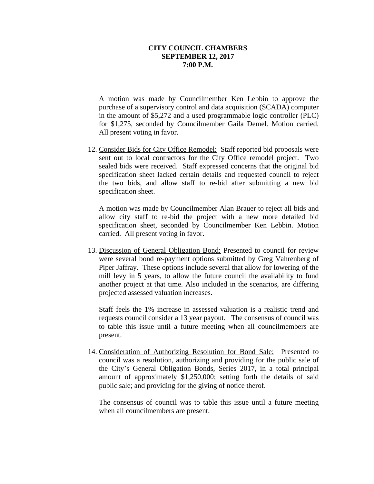A motion was made by Councilmember Ken Lebbin to approve the purchase of a supervisory control and data acquisition (SCADA) computer in the amount of \$5,272 and a used programmable logic controller (PLC) for \$1,275, seconded by Councilmember Gaila Demel. Motion carried. All present voting in favor.

12. Consider Bids for City Office Remodel: Staff reported bid proposals were sent out to local contractors for the City Office remodel project. Two sealed bids were received. Staff expressed concerns that the original bid specification sheet lacked certain details and requested council to reject the two bids, and allow staff to re-bid after submitting a new bid specification sheet.

A motion was made by Councilmember Alan Brauer to reject all bids and allow city staff to re-bid the project with a new more detailed bid specification sheet, seconded by Councilmember Ken Lebbin. Motion carried. All present voting in favor.

13. Discussion of General Obligation Bond: Presented to council for review were several bond re-payment options submitted by Greg Vahrenberg of Piper Jaffray. These options include several that allow for lowering of the mill levy in 5 years, to allow the future council the availability to fund another project at that time. Also included in the scenarios, are differing projected assessed valuation increases.

Staff feels the 1% increase in assessed valuation is a realistic trend and requests council consider a 13 year payout. The consensus of council was to table this issue until a future meeting when all councilmembers are present.

14. Consideration of Authorizing Resolution for Bond Sale: Presented to council was a resolution, authorizing and providing for the public sale of the City's General Obligation Bonds, Series 2017, in a total principal amount of approximately \$1,250,000; setting forth the details of said public sale; and providing for the giving of notice therof.

The consensus of council was to table this issue until a future meeting when all councilmembers are present.